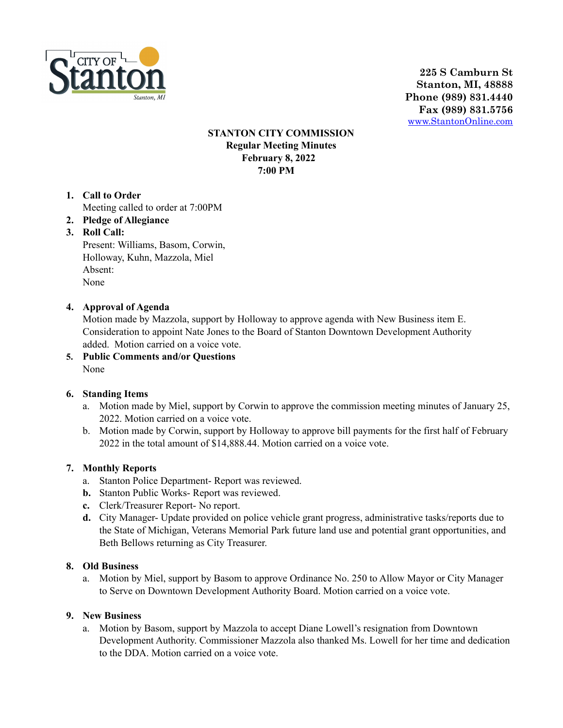

**225 S Camburn St Stanton, MI, 48888 Phone (989) 831.4440 Fax (989) 831.5756** [www.StantonOnline.com](http://www.stantononline.com)

### **STANTON CITY COMMISSION Regular Meeting Minutes February 8, 2022 7:00 PM**

- **1. Call to Order** Meeting called to order at 7:00PM
- **2. Pledge of Allegiance**
- **3. Roll Call:**

Present: Williams, Basom, Corwin, Holloway, Kuhn, Mazzola, Miel Absent: None

### **4. Approval of Agenda**

Motion made by Mazzola, support by Holloway to approve agenda with New Business item E. Consideration to appoint Nate Jones to the Board of Stanton Downtown Development Authority added. Motion carried on a voice vote.

**5. Public Comments and/or Questions** None

#### **6. Standing Items**

- a. Motion made by Miel, support by Corwin to approve the commission meeting minutes of January 25, 2022. Motion carried on a voice vote.
- b. Motion made by Corwin, support by Holloway to approve bill payments for the first half of February 2022 in the total amount of \$14,888.44. Motion carried on a voice vote.

#### **7. Monthly Reports**

- a. Stanton Police Department- Report was reviewed.
- **b.** Stanton Public Works- Report was reviewed.
- **c.** Clerk/Treasurer Report- No report.
- **d.** City Manager- Update provided on police vehicle grant progress, administrative tasks/reports due to the State of Michigan, Veterans Memorial Park future land use and potential grant opportunities, and Beth Bellows returning as City Treasurer.

#### **8. Old Business**

a. Motion by Miel, support by Basom to approve Ordinance No. 250 to Allow Mayor or City Manager to Serve on Downtown Development Authority Board. Motion carried on a voice vote.

#### **9. New Business**

a. Motion by Basom, support by Mazzola to accept Diane Lowell's resignation from Downtown Development Authority. Commissioner Mazzola also thanked Ms. Lowell for her time and dedication to the DDA. Motion carried on a voice vote.